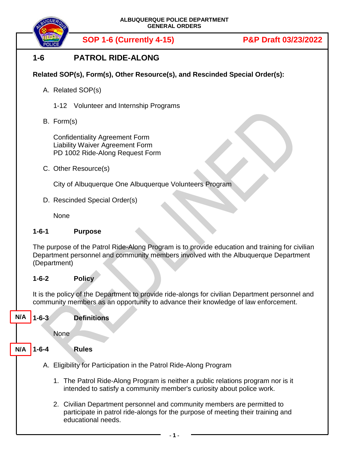

**SOP 1-6 (Currently 4-15) P&P Draft 03/23/2022**

# **1-6 PATROL RIDE-ALONG**

# **Related SOP(s), Form(s), Other Resource(s), and Rescinded Special Order(s):**

- A. Related SOP(s)
	- 1-12 Volunteer and Internship Programs
- B. Form(s)

Confidentiality Agreement Form Liability Waiver Agreement Form PD 1002 Ride-Along Request Form

C. Other Resource(s)

City of Albuquerque One Albuquerque Volunteers Program

D. Rescinded Special Order(s)

None

### **1-6-1 Purpose**

The purpose of the Patrol Ride-Along Program is to provide education and training for civilian Department personnel and community members involved with the Albuquerque Department (Department)

## **1-6-2 Policy**

It is the policy of the Department to provide ride-alongs for civilian Department personnel and community members as an opportunity to advance their knowledge of law enforcement.

**N/A**

### **1-6-3 Definitions**

None

#### **1-6-4 Rules N/A**

- A. Eligibility for Participation in the Patrol Ride-Along Program
	- 1. The Patrol Ride-Along Program is neither a public relations program nor is it intended to satisfy a community member's curiosity about police work.
	- 2. Civilian Department personnel and community members are permitted to participate in patrol ride-alongs for the purpose of meeting their training and educational needs.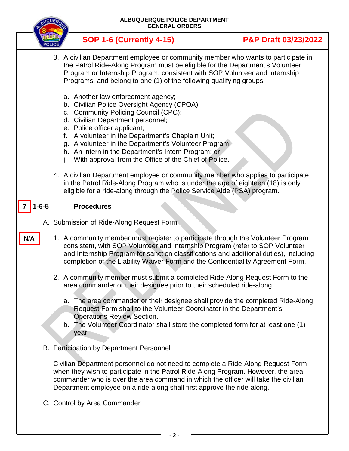

C. Control by Area Commander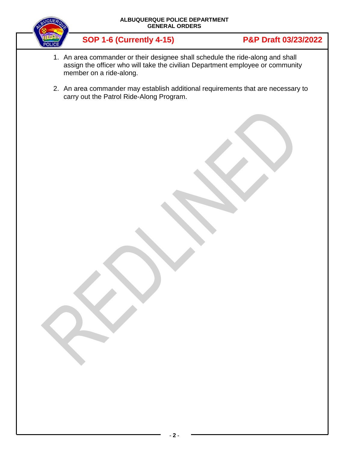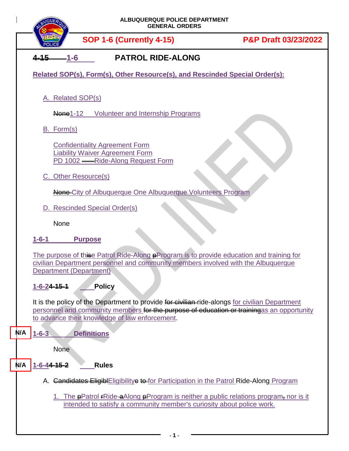| ALBUQUERQUE POLICE DEPARTMENT<br><b>GENERAL ORDERS</b>                      |                                                                                                                                                                                                                                               |                      |
|-----------------------------------------------------------------------------|-----------------------------------------------------------------------------------------------------------------------------------------------------------------------------------------------------------------------------------------------|----------------------|
|                                                                             | <b>SOP 1-6 (Currently 4-15)</b>                                                                                                                                                                                                               | P&P Draft 03/23/2022 |
| <b>PATROL RIDE-ALONG</b><br>$4 - 15$<br>$-1-6$                              |                                                                                                                                                                                                                                               |                      |
| Related SOP(s), Form(s), Other Resource(s), and Rescinded Special Order(s): |                                                                                                                                                                                                                                               |                      |
|                                                                             | A. Related SOP(s)                                                                                                                                                                                                                             |                      |
|                                                                             | None1-12 Volunteer and Internship Programs                                                                                                                                                                                                    |                      |
|                                                                             | B. Form(s)                                                                                                                                                                                                                                    |                      |
|                                                                             | <b>Confidentiality Agreement Form</b><br><b>Liability Waiver Agreement Form</b><br>PD 1002 -Ride-Along Request Form                                                                                                                           |                      |
|                                                                             | C. Other Resource(s)                                                                                                                                                                                                                          |                      |
|                                                                             | None-City of Albuquerque One Albuquerque Volunteers Program                                                                                                                                                                                   |                      |
|                                                                             | D. Rescinded Special Order(s)                                                                                                                                                                                                                 |                      |
|                                                                             | None                                                                                                                                                                                                                                          |                      |
|                                                                             | $1 - 6 - 1$<br><b>Purpose</b>                                                                                                                                                                                                                 |                      |
|                                                                             | The purpose of thise Patrol Ride-Along <b>P</b> Program is to provide education and training for<br>civilian Department personnel and community members involved with the Albuquerque<br>Department (Department)                              |                      |
|                                                                             | <b>Policy</b><br>$1 - 6 - 24 - 15 - 1$                                                                                                                                                                                                        |                      |
|                                                                             | It is the policy of the Department to provide for civilian-ride-alongs for civilian Department<br>personnel and community members for the purpose of education or trainingas an opportunity<br>to advance their knowledge of law enforcement. |                      |
| N/A                                                                         | $1 - 6 - 3$<br><b>Definitions</b>                                                                                                                                                                                                             |                      |
|                                                                             | <b>None</b>                                                                                                                                                                                                                                   |                      |
| N/A                                                                         | <b>Rules</b><br>1-6-44-15-2                                                                                                                                                                                                                   |                      |
|                                                                             | A. Candidates EligiblEligibilitye to for Participation in the Patrol Ride-Along Program                                                                                                                                                       |                      |
|                                                                             | 1. The <b>P</b> Patrol FRide-aAlong <b>P</b> rogram is neither a public relations program, nor is it<br>intended to satisfy a community member's curiosity about police work.                                                                 |                      |
|                                                                             |                                                                                                                                                                                                                                               |                      |

**- 1 -**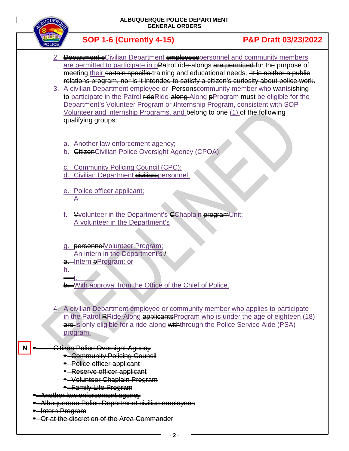



**• Or at the discretion of the Area Commander**